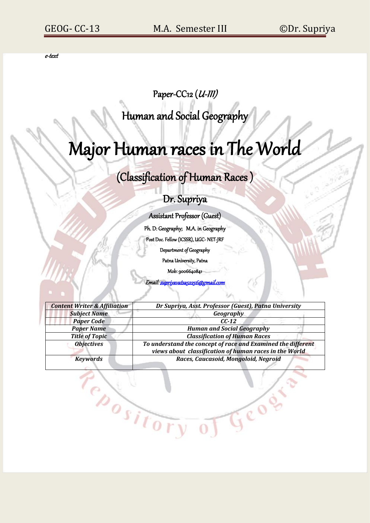e-text

# Paper-CC12 (U-III)

Human and Social Geography

# Major Human races in The World

# (Classification of Human Races )

# Dr. Supriya

Assistant Professor (Guest)

Ph. D: Geography; M.A. in Geography

Post Doc. Fellow (ICSSR), UGC- NET-JRF

Department of Geography

Patna University, Patna

Mob: 9006640841

Emai[l: supriyavatsa52256@gmail.com](mailto:supriyavatsa52256@gmail.com) 

| <b>Content Writer &amp; Affiliation</b> | Dr Supriya, Asst. Professor (Guest), Patna University                                                                  |  |
|-----------------------------------------|------------------------------------------------------------------------------------------------------------------------|--|
| <b>Subject Name</b>                     | Geography                                                                                                              |  |
| <b>Paper Code</b>                       | $C C-12$                                                                                                               |  |
| <b>Paper Name</b>                       | <b>Human and Social Geography</b>                                                                                      |  |
| <b>Title of Topic</b>                   | <b>Classification of Human Races</b>                                                                                   |  |
| <b>Objectives</b>                       | To understand the concept of race and Examined the different<br>views about classification of human races in the World |  |
| <b>Keywords</b>                         | Races, Caucasoid, Mongoloid, Negroid                                                                                   |  |
|                                         |                                                                                                                        |  |

of Geog

Pepository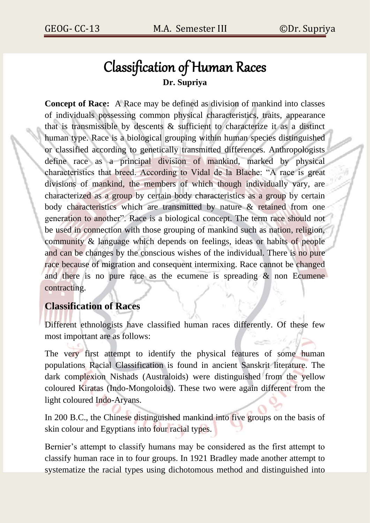# Classification of Human Races **Dr. Supriya**

**Concept of Race:** A Race may be defined as division of mankind into classes of individuals possessing common physical characteristics, traits, appearance that is transmissible by descents & sufficient to characterize it as a distinct human type. Race is a biological grouping within human species distinguished or classified according to genetically transmitted differences. Anthropologists define race as a principal division of mankind, marked by physical characteristics that breed. According to Vidal de la Blache: "A race is great divisions of mankind, the members of which though individually vary, are characterized as a group by certain body characteristics as a group by certain body characteristics which are transmitted by nature & retained from one generation to another". Race is a biological concept. The term race should not be used in connection with those grouping of mankind such as nation, religion, community & language which depends on feelings, ideas or habits of people and can be changes by the conscious wishes of the individual. There is no pure race because of migration and consequent intermixing. Race cannot be changed and there is no pure race as the ecumene is spreading & non Ecumene contracting.

## **Classification of Races**

Different ethnologists have classified human races differently. Of these few most important are as follows:

The very first attempt to identify the physical features of some human populations Racial Classification is found in ancient Sanskrit literature. The dark complexion Nishads (Australoids) were distinguished from the yellow coloured Kiratas (Indo-Mongoloids). These two were again different from the light coloured Indo-Aryans.

In 200 B.C., the Chinese distinguished mankind into five groups on the basis of skin colour and Egyptians into four racial types.

Bernier's attempt to classify humans may be considered as the first attempt to classify human race in to four groups. In 1921 Bradley made another attempt to systematize the racial types using dichotomous method and distinguished into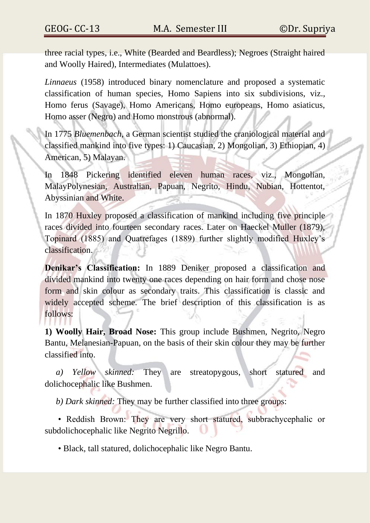three racial types, i.e., White (Bearded and Beardless); Negroes (Straight haired and Woolly Haired), Intermediates (Mulattoes).

*Linnaeus* (1958) introduced binary nomenclature and proposed a systematic classification of human species, Homo Sapiens into six subdivisions, viz., Homo ferus (Savage), Homo Americans, Homo europeans, Homo asiaticus, Homo asser (Negro) and Homo monstrous (abnormal).

In 1775 *Bluemenbach,* a German scientist studied the craniological material and classified mankind into five types: 1) Caucasian, 2) Mongolian, 3) Ethiopian, 4) American, 5) Malayan.

In 1848 Pickering identified eleven human races, viz., Mongolian, MalayPolynesian, Australian, Papuan, Negrito, Hindu, Nubian, Hottentot, Abyssinian and White.

In 1870 Huxley proposed a classification of mankind including five principle races divided into fourteen secondary races. Later on Haeckel Muller (1879), Topinard (1885) and Quatrefages (1889) further slightly modified Huxley's classification.

**Denikar's Classification:** In 1889 Deniker proposed a classification and divided mankind into twenty one races depending on hair form and chose nose form and skin colour as secondary traits. This classification is classic and widely accepted scheme. The brief description of this classification is as follows:

**1) Woolly Hair, Broad Nose:** This group include Bushmen, Negrito, Negro Bantu, Melanesian-Papuan, on the basis of their skin colour they may be further classified into.

*a) Yellow skinned:* They are streatopygous, short statured and dolichocephalic like Bushmen.

*b) Dark skinned:* They may be further classified into three groups:

• Reddish Brown: They are very short statured, subbrachycephalic or subdolichocephalic like Negrito Negrillo.

• Black, tall statured, dolichocephalic like Negro Bantu.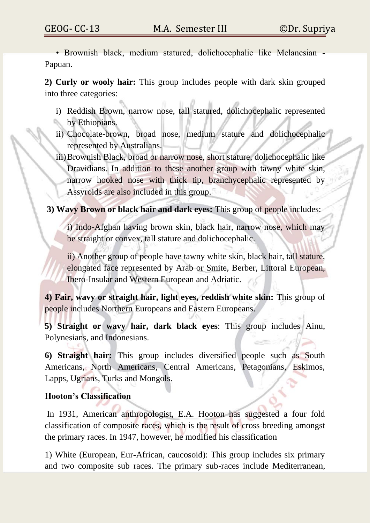• Brownish black, medium statured, dolichocephalic like Melanesian - Papuan.

**2) Curly or wooly hair:** This group includes people with dark skin grouped into three categories:

- i) Reddish Brown, narrow nose, tall statured, dolichocephalic represented by Ethiopians.
- ii) Chocolate-brown, broad nose, medium stature and dolichocephalic represented by Australians.
- iii)Brownish Black, broad or narrow nose, short stature, dolichocephalic like Dravidians. In addition to these another group with tawny white skin, narrow hooked nose with thick tip, branchycephalic represented by Assyroids are also included in this group.

**3) Wavy Brown or black hair and dark eyes:** This group of people includes:

i) Indo-Afghan having brown skin, black hair, narrow nose, which may be straight or convex, tall stature and dolichocephalic.

ii) Another group of people have tawny white skin, black hair, tall stature, elongated face represented by Arab or Smite, Berber, Littoral European, Ibero-Insular and Western European and Adriatic.

**4) Fair, wavy or straight hair, light eyes, reddish white skin:** This group of people includes Northern Europeans and Eastern Europeans.

**5) Straight or wavy hair, dark black eyes**: This group includes Ainu, Polynesians, and Indonesians.

**6) Straight hair:** This group includes diversified people such as South Americans, North Americans, Central Americans, Petagonians, Eskimos, Lapps, Ugrians, Turks and Mongols.

#### **Hooton's Classification**

In 1931, American anthropologist, E.A. Hooton has suggested a four fold classification of composite races, which is the result of cross breeding amongst the primary races. In 1947, however, he modified his classification

1) White (European, Eur-African, caucosoid): This group includes six primary and two composite sub races. The primary sub-races include Mediterranean,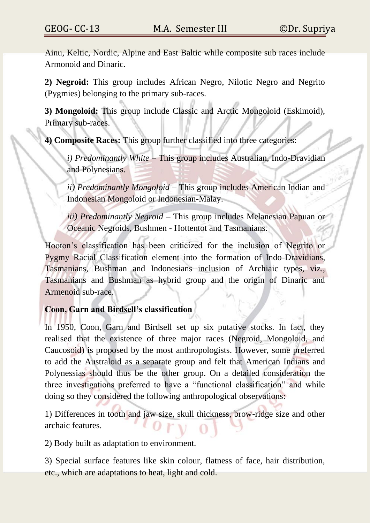Ainu, Keltic, Nordic, Alpine and East Baltic while composite sub races include Armonoid and Dinaric.

**2) Negroid:** This group includes African Negro, Nilotic Negro and Negrito (Pygmies) belonging to the primary sub-races.

**3) Mongoloid:** This group include Classic and Arctic Mongoloid (Eskimoid), Primary sub-races.

**4) Composite Races:** This group further classified into three categories:

*i) Predominantly White* – This group includes Australian, Indo-Dravidian and Polynesians.

*ii) Predominantly Mongoloid* – This group includes American Indian and Indonesian Mongoloid or Indonesian-Malay.

*iii) Predominantly Negroid* – This group includes Melanesian Papuan or Oceanic Negroids, Bushmen - Hottentot and Tasmanians.

Hooton's classification has been criticized for the inclusion of Negrito or Pygmy Racial Classification element into the formation of Indo-Dravidians, Tasmanians, Bushman and Indonesians inclusion of Archiaic types, viz., Tasmanians and Bushman as hybrid group and the origin of Dinaric and Armenoid sub-race.

#### **Coon, Garn and Birdsell's classification**

In 1950, Coon, Garn and Birdsell set up six putative stocks. In fact, they realised that the existence of three major races (Negroid, Mongoloid, and Caucosoid) is proposed by the most anthropologists. However, some preferred to add the Australoid as a separate group and felt that American Indians and Polynessias should thus be the other group. On a detailed consideration the three investigations preferred to have a "functional classification" and while doing so they considered the following anthropological observations:

1) Differences in tooth and jaw size, skull thickness, brow-ridge size and other archaic features.

2) Body built as adaptation to environment.

3) Special surface features like skin colour, flatness of face, hair distribution, etc., which are adaptations to heat, light and cold.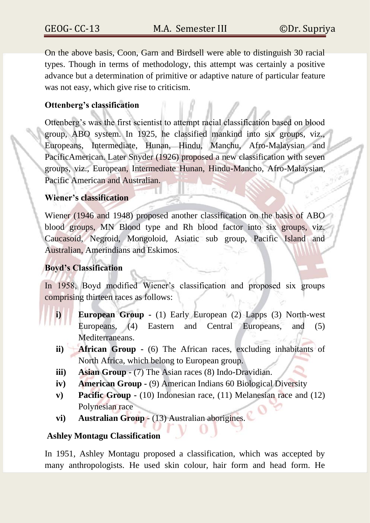On the above basis, Coon, Garn and Birdsell were able to distinguish 30 racial types. Though in terms of methodology, this attempt was certainly a positive advance but a determination of primitive or adaptive nature of particular feature was not easy, which give rise to criticism.

#### **Ottenberg's classification**

Ottenberg's was the first scientist to attempt racial classification based on blood group, ABO system. In 1925, he classified mankind into six groups, viz., Europeans, Intermediate, Hunan, Hindu, Manchu, Afro-Malaysian and PacificAmerican. Later Snyder (1926) proposed a new classification with seven groups, viz., European, Intermediate Hunan, Hindu-Mancho, Afro-Malaysian, Pacific American and Australian.

#### **Wiener's classification**

Wiener (1946 and 1948) proposed another classification on the basis of ABO blood groups, MN Blood type and Rh blood factor into six groups, viz. Caucasoid, Negroid, Mongoloid, Asiatic sub group, Pacific Island and Australian, Amerindians and Eskimos.

#### **Boyd's Classification**

In 1958, Boyd modified Wiener's classification and proposed six groups comprising thirteen races as follows:

- **i) European Group -** (1) Early European (2) Lapps (3) North-west Europeans, (4) Eastern and Central Europeans, and (5) Mediterraneans.
- **ii) African Group -** (6) The African races, excluding inhabitants of North Africa, which belong to European group.
- **iii) Asian Group -** (7) The Asian races (8) Indo-Dravidian.
- **iv) American Group -** (9) American Indians 60 Biological Diversity
- **v) Pacific Group -** (10) Indonesian race, (11) Melanesian race and (12) Polynesian race
- **vi) Australian Group** (13) Australian aborigines.

#### **Ashley Montagu Classification**

In 1951, Ashley Montagu proposed a classification, which was accepted by many anthropologists. He used skin colour, hair form and head form. He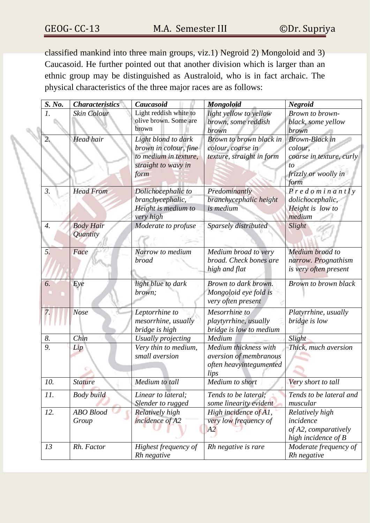classified mankind into three main groups, viz.1) Negroid 2) Mongoloid and 3) Caucasoid. He further pointed out that another division which is larger than an ethnic group may be distinguished as Australoid, who is in fact archaic. The physical characteristics of the three major races are as follows:

| S. No.             | <b>Characteristics</b>       | Caucasoid                                                                                            | <b>Mongoloid</b>                                                                   | <b>Negroid</b>                                                                                     |
|--------------------|------------------------------|------------------------------------------------------------------------------------------------------|------------------------------------------------------------------------------------|----------------------------------------------------------------------------------------------------|
|                    | Skin Colour                  | Light reddish white to<br>olive brown. Some are<br>brown                                             | light yellow to yellow<br>brown, some reddish<br>brown                             | Brown to brown-<br>black, some yellow<br>brown                                                     |
|                    | <b>Head hair</b>             | Light blond to dark<br>brown in colour, fine<br>to medium in texture,<br>straight to wavy in<br>form | Brown to brown black in<br>colour, coarse in<br>texture, straight in form          | <b>Brown-Black</b> in<br>colour,<br>coarse in texture, curly<br>to<br>frizzly or woolly in<br>form |
| 3.                 | <b>Head From</b>             | Dolichocephalic to<br>branchycephalic,<br>Height is medium to<br>very high                           | Predominantly<br>branchycephalic height<br>is medium                               | $P$ redominantly<br>dolichocephalic,<br>Height is low to<br>medium                                 |
| $\boldsymbol{4}$ . | <b>Body Hair</b><br>Quantity | Moderate to profuse                                                                                  | Sparsely distributed                                                               | Slight                                                                                             |
| 5.                 | Face                         | Narrow to medium<br><b>broad</b>                                                                     | Medium broad to very<br>broad. Check bones are<br>high and flat                    | Medium broad to<br>narrow. Prognathism<br>is very often present                                    |
| 6.                 | Eye                          | light blue to dark<br>brown;                                                                         | Brown to dark brown.<br>Mongoloid eye fold is<br>very often present                | Brown to brown black                                                                               |
|                    | <b>Nose</b>                  | Leptorrhine to<br>mesorrhine, usually<br>bridge is high                                              | Mesorrhine to<br>playtyrrhine, usually<br>bridge is low to medium                  | Platyrrhine, usually<br>bridge is low                                                              |
| 8.                 | Chin                         | Usually projecting                                                                                   | Medium                                                                             | Slight                                                                                             |
| 9.                 | Lip                          | Very thin to medium,<br>small aversion                                                               | Medium thickness with<br>aversion of membranous<br>often heavyintegumented<br>lips | Thick, much aversion                                                                               |
| 10.                | <b>Stature</b>               | Medium to tall                                                                                       | Medium to short                                                                    | Very short to tall                                                                                 |
| 11.                | Body build                   | Linear to lateral;<br>Slender to rugged                                                              | Tends to be lateral;<br>some linearity evident                                     | Tends to be lateral and<br>muscular                                                                |
| 12.                | <b>ABO</b> Blood<br>Group    | Relatively high<br>incidence of A2                                                                   | High incidence of A1,<br>very low frequency of<br>A2                               | Relatively high<br>incidence<br>of A2, comparatively<br>high incidence of B                        |
| 13                 | Rh. Factor                   | Highest frequency of<br>Rh negative                                                                  | Rh negative is rare                                                                | Moderate frequency of<br>Rh negative                                                               |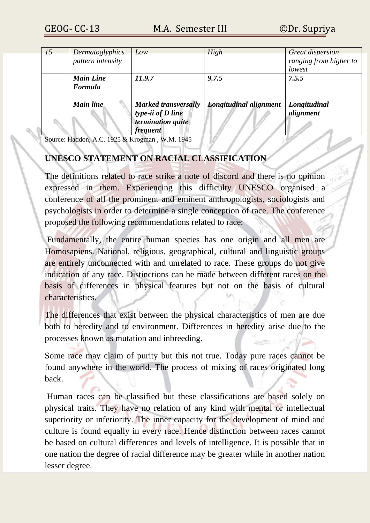| 15 | Dermatoglyphics<br>pattern intensity | Low                                                                                      | High                   | <b>Great dispersion</b><br>ranging from higher to<br>lowest |
|----|--------------------------------------|------------------------------------------------------------------------------------------|------------------------|-------------------------------------------------------------|
|    | <b>Main Line</b><br>Formula          | 11.9.7                                                                                   | 9.7.5                  | 7.5.5                                                       |
|    | Main line                            | <b>Marked transversally</b><br>type-ii of D line<br>termination quite<br><i>frequent</i> | Longitudinal alignment | Longitudinal<br>alignment                                   |

Source: Haddon, A.C. 1925 & Krogman , W.M. 1945

### **UNESCO STATEMENT ON RACIAL CLASSIFICATION**

The definitions related to race strike a note of discord and there is no opinion expressed in them. Experiencing this difficulty UNESCO organised a conference of all the prominent and eminent anthropologists, sociologists and psychologists in order to determine a single conception of race. The conference proposed the following recommendations related to race:

Fundamentally, the entire human species has one origin and all men are Homosapiens. National, religious, geographical, cultural and linguistic groups are entirely unconnected with and unrelated to race. These groups do not give indication of any race. Distinctions can be made between different races on the basis of differences in physical features but not on the basis of cultural characteristics.

The differences that exist between the physical characteristics of men are due both to heredity and to environment. Differences in heredity arise due to the processes known as mutation and inbreeding.

Some race may claim of purity but this not true. Today pure races cannot be found anywhere in the world. The process of mixing of races originated long back.

Human races can be classified but these classifications are based solely on physical traits. They have no relation of any kind with mental or intellectual superiority or inferiority. The inner capacity for the development of mind and culture is found equally in every race. Hence distinction between races cannot be based on cultural differences and levels of intelligence. It is possible that in one nation the degree of racial difference may be greater while in another nation lesser degree.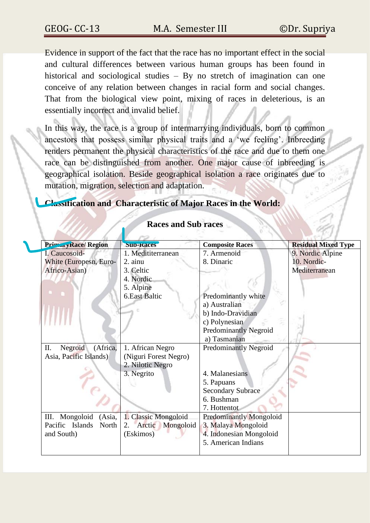Evidence in support of the fact that the race has no important effect in the social and cultural differences between various human groups has been found in historical and sociological studies – By no stretch of imagination can one conceive of any relation between changes in racial form and social changes. That from the biological view point, mixing of races in deleterious, is an essentially incorrect and invalid belief.

In this way, the race is a group of intermarrying individuals, born to common ancestors that possess similar physical traits and a 'we feeling'. Inbreeding renders permanent the physical characteristics of the race and due to them one race can be distinguished from another. One major cause of inbreeding is geographical isolation. Beside geographical isolation a race originates due to mutation, migration, selection and adaptation.

#### **Classification and Characteristic of Major Races in the World:**

| PrimaryRace/Region                 | <b>Sub-Races</b>          | <b>Composite Races</b>         | <b>Residual Mixed Type</b> |
|------------------------------------|---------------------------|--------------------------------|----------------------------|
| I. Caucosoid-                      | 1. Medititerranean        | 7. Armenoid                    | 9. Nordic Alpine           |
| White (Europesn, Euro-             | 2. ainu                   | 8. Dinaric                     | 10. Nordic-                |
| Africo-Asian)                      | 3. Celtic                 |                                | Mediterranean              |
|                                    | 4. Nordic                 |                                |                            |
|                                    | 5. Alpine                 |                                |                            |
|                                    | <b>6.East Baltic</b>      | Predominantly white            |                            |
|                                    |                           | a) Australian                  |                            |
|                                    |                           | b) Indo-Dravidian              |                            |
|                                    |                           | c) Polynesian                  |                            |
|                                    |                           | <b>Predominantly Negroid</b>   |                            |
|                                    |                           | a) Tasmanian                   |                            |
| Negroid<br>(Africa,<br>П.          | 1. African Negro          | <b>Predominantly Negroid</b>   |                            |
| Asia, Pacific Islands)             | (Niguri Forest Negro)     |                                |                            |
|                                    | 2. Nilotic Negro          |                                |                            |
|                                    | 3. Negrito                | 4. Malanesians                 |                            |
|                                    |                           | 5. Papuans                     |                            |
|                                    |                           | <b>Secondary Subrace</b>       |                            |
|                                    |                           | 6. Bushman                     |                            |
|                                    |                           | 7. Hottentot                   |                            |
| Mongoloid<br>(Asia,<br>Ш.          | 1. Classic Mongoloid      | <b>Predominantly Mongoloid</b> |                            |
| Pacific<br><b>Islands</b><br>North | Mongoloid<br>Arctic<br>2. | 3. Malaya Mongoloid            |                            |
| and South)                         | (Eskimos)                 | 4. Indonesian Mongoloid        |                            |
|                                    |                           | 5. American Indians            |                            |
|                                    |                           |                                |                            |

#### **Races and Sub races**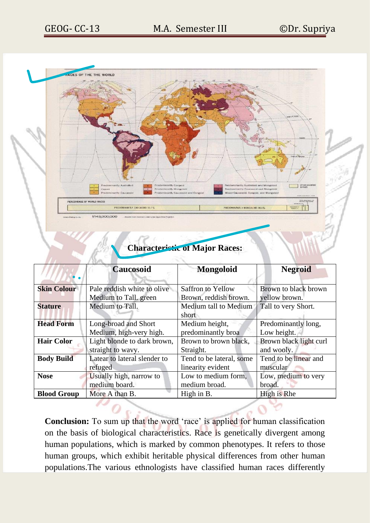

## **Characteristic of Major Races:**

|                    | <b>Caucosoid</b>             | <b>Mongoloid</b>         | <b>Negroid</b>         |  |  |
|--------------------|------------------------------|--------------------------|------------------------|--|--|
|                    |                              |                          |                        |  |  |
| <b>Skin Colour</b> | Pale reddish white to olive  | <b>Saffron to Yellow</b> | Brown to black brown   |  |  |
|                    | Medium to Tall. green        | Brown, reddish brown.    | yellow brown.          |  |  |
| <b>Stature</b>     | Medium to Tall.              | Medium tall to Medium    | Tall to very Short.    |  |  |
|                    |                              | short                    |                        |  |  |
| <b>Head Form</b>   | Long-broad and Short         | Medium height,           | Predominantly long,    |  |  |
|                    | Medium, high-very high.      | predominantly broa       | Low height.            |  |  |
| <b>Hair Color</b>  | Light blonde to dark brown,  | Brown to brown black,    | Brown black light curl |  |  |
|                    | straight to wavy.            | Straight.                | and wooly.             |  |  |
| <b>Body Build</b>  | Latear to lateral slender to | Tend to be lateral, some | Tend to be linear and  |  |  |
|                    | refuged                      | linearity evident        | muscular               |  |  |
| <b>Nose</b>        | Usually high, narrow to      | Low to medium form,      | Low, medium to very    |  |  |
|                    | medium board.                | medium broad.            | broad.                 |  |  |
| <b>Blood Group</b> | More A than B.               | High in B.               | High is Rhe            |  |  |
|                    |                              |                          |                        |  |  |

**Conclusion:** To sum up that the word 'race' is applied for human classification on the basis of biological characteristics. Race is genetically divergent among human populations, which is marked by common phenotypes. It refers to those human groups, which exhibit heritable physical differences from other human populations.The various ethnologists have classified human races differently